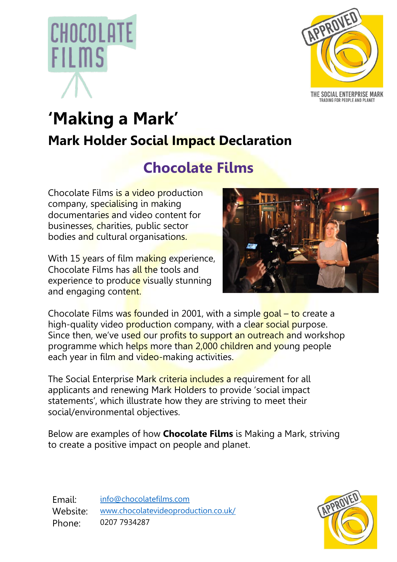



THE SOCIAL ENTERPRISE MARK TRADING FOR PEOPLE AND PLANET

# **'Making a Mark' Mark Holder Social Impact Declaration**

## **Chocolate Films**

Chocolate Films is a video production company, specialising in making documentaries and video content for businesses, charities, public sector bodies and cultural organisations.

With 15 years of film making experience, Chocolate Films has all the tools and experience to produce visually stunning and engaging content.



Chocolate Films was founded in 2001, with a simple goal – to create a high-quality video **production** company, with a clear social purpose. Since then, we've used our profits to support an outreach and workshop programme which helps more than 2,000 children and young people each year in film and video-making activities.

The Social Enterprise Mark criteria includes a requirement for all applicants and renewing Mark Holders to provide 'social impact statements', which illustrate how they are striving to meet their social/environmental objectives.

Below are examples of how **Chocolate Films** is Making a Mark, striving to create a positive impact on people and planet.

Email: [info@chocolatefilms.com](mailto:info@chocolatefilms.com) Website: [www.chocolatevideoproduction.co.uk/](http://www.chocolatevideoproduction.co.uk/) Phone: 0207 7934287